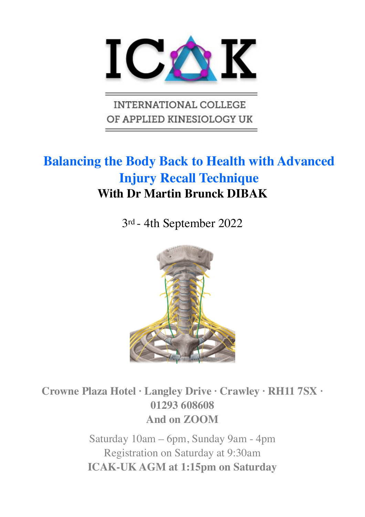

**INTERNATIONAL COLLEGE** OF APPLIED KINESIOLOGY UK

# **Balancing the Body Back to Health with Advanced Injury Recall Technique With Dr Martin Brunck DIBAK**

3rd - 4th September 2022



**Crowne Plaza Hotel · Langley Drive · Crawley · RH11 7SX · [01293 608608](tel:01293608608)  And on ZOOM** 

> Saturday 10am – 6pm, Sunday 9am - 4pm Registration on Saturday at 9:30am **ICAK-UK AGM at 1:15pm on Saturday**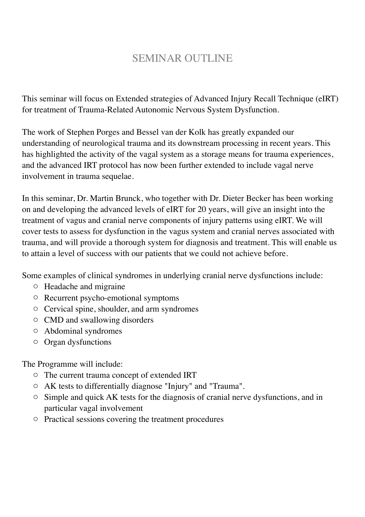# SEMINAR OUTLINE

This seminar will focus on Extended strategies of Advanced Injury Recall Technique (eIRT) for treatment of Trauma-Related Autonomic Nervous System Dysfunction.

The work of Stephen Porges and Bessel van der Kolk has greatly expanded our understanding of neurological trauma and its downstream processing in recent years. This has highlighted the activity of the vagal system as a storage means for trauma experiences, and the advanced IRT protocol has now been further extended to include vagal nerve involvement in trauma sequelae.

In this seminar, Dr. Martin Brunck, who together with Dr. Dieter Becker has been working on and developing the advanced levels of eIRT for 20 years, will give an insight into the treatment of vagus and cranial nerve components of injury patterns using eIRT. We will cover tests to assess for dysfunction in the vagus system and cranial nerves associated with trauma, and will provide a thorough system for diagnosis and treatment. This will enable us to attain a level of success with our patients that we could not achieve before.

Some examples of clinical syndromes in underlying cranial nerve dysfunctions include:

- o Headache and migraine
- o Recurrent psycho-emotional symptoms
- o Cervical spine, shoulder, and arm syndromes
- o CMD and swallowing disorders
- o Abdominal syndromes
- o Organ dysfunctions

The Programme will include:

- o The current trauma concept of extended IRT
- o AK tests to differentially diagnose "Injury" and "Trauma".
- o Simple and quick AK tests for the diagnosis of cranial nerve dysfunctions, and in particular vagal involvement
- o Practical sessions covering the treatment procedures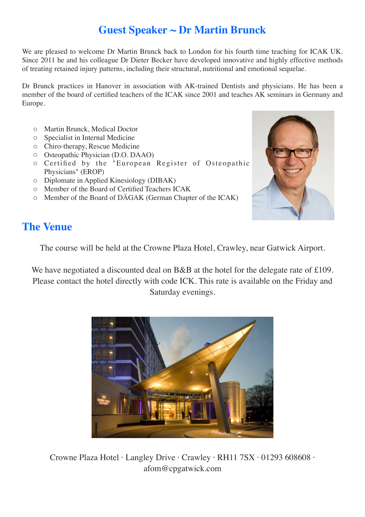# **Guest Speaker ~ Dr Martin Brunck**

We are pleased to welcome Dr Martin Brunck back to London for his fourth time teaching for ICAK UK. Since 2011 he and his colleague Dr Dieter Becker have developed innovative and highly effective methods of treating retained injury patterns, including their structural, nutritional and emotional sequelae.

Dr Brunck practices in Hanover in association with AK-trained Dentists and physicians. He has been a member of the board of certified teachers of the ICAK since 2001 and teaches AK seminars in Germany and Europe.

- o Martin Brunck, Medical Doctor
- o Specialist in Internal Medicine
- o Chiro-therapy, Rescue Medicine
- o Osteopathic Physician (D.O. DAAO)
- o Certified by the "European Register of Osteopathic Physicians" (EROP)
- o Diplomate in Applied Kinesiology (DIBAK)
- o Member of the Board of Certified Teachers ICAK
- o Member of the Board of DÄGAK (German Chapter of the ICAK)



## **The Venue**

The course will be held at the Crowne Plaza Hotel, Crawley, near Gatwick Airport.

We have negotiated a discounted deal on B&B at the hotel for the delegate rate of £109. Please contact the hotel directly with code ICK. This rate is available on the Friday and Saturday evenings.



Crowne Plaza Hotel · Langley Drive · Crawley · RH11 7SX · [01293 608608](tel:01293608608) · afom@cpgatwick.com